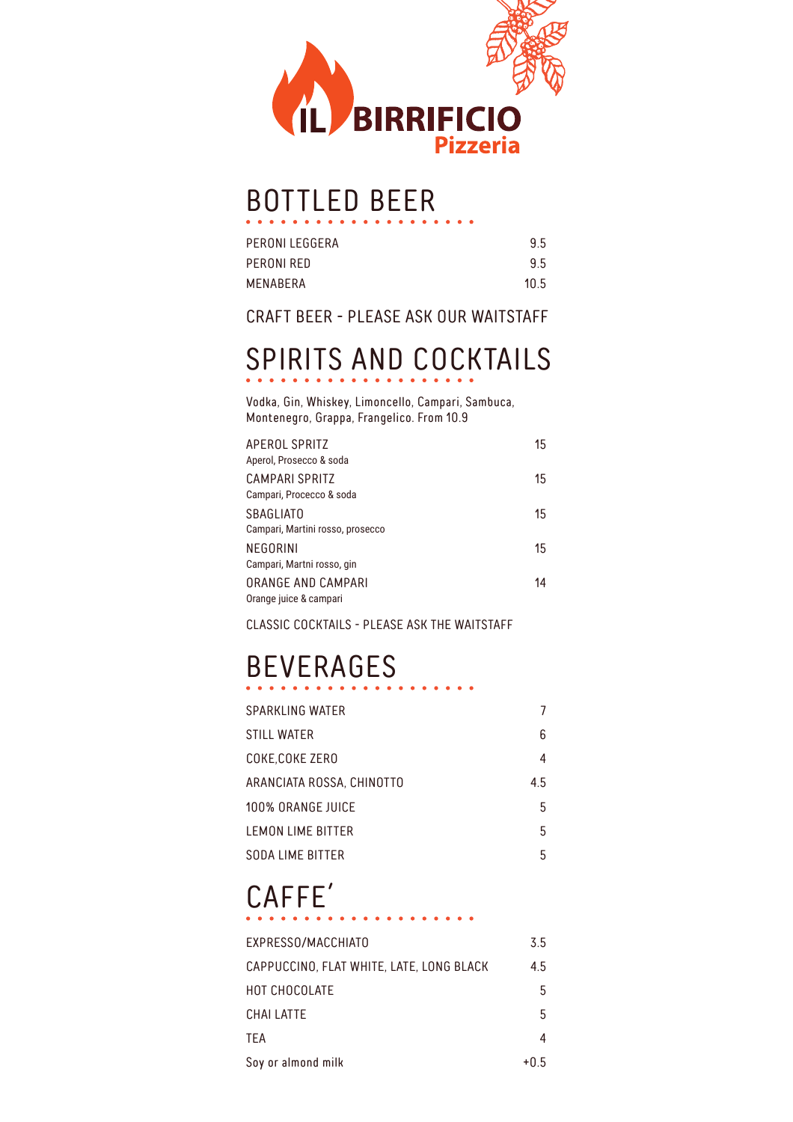

#### BOTTLED BEER

| 9.5  |
|------|
| 9.5  |
| 10.5 |
|      |

#### CRAFT BEER - PLEASE ASK OUR WAITSTAFF

## SPIRITS AND COCKTAILS

Vodka, Gin, Whiskey, Limoncello, Campari, Sambuca, Montenegro, Grappa, Frangelico. From 10.9

| APEROL SPRITZ<br>Aperol, Prosecco & soda     | 15 |
|----------------------------------------------|----|
| CAMPARI SPRITZ<br>Campari, Procecco & soda   | 15 |
| <b>SBAGLIATO</b>                             | 15 |
| Campari, Martini rosso, prosecco<br>NEGORINI | 15 |
| Campari, Martni rosso, gin                   |    |
| ORANGE AND CAMPARI<br>Orange juice & campari | 14 |

CLASSIC COCKTAILS - PLEASE ASK THE WAITSTAFF

### BEVERAGES

| SPARKLING WATER           | 7   |
|---------------------------|-----|
| STILL WATER               | 6   |
| COKE,COKE ZERO            | 4   |
| ARANCIATA ROSSA, CHINOTTO | 4.5 |
| 100% ORANGE JUICE         | 5   |
| LEMON LIME BITTER         | 5   |
| SODA LIME BITTER          | 5   |

# CAFFE´

| EXPRESSO/MACCHIATO                       | 3.5  |
|------------------------------------------|------|
| CAPPUCCINO, FLAT WHITE, LATE, LONG BLACK | 4.5  |
| HOT CHOCOLATE                            | 5    |
| CHAI LATTE                               | 5    |
| <b>TEA</b>                               | 4    |
| Soy or almond milk                       | +0.5 |

. . . . . . .